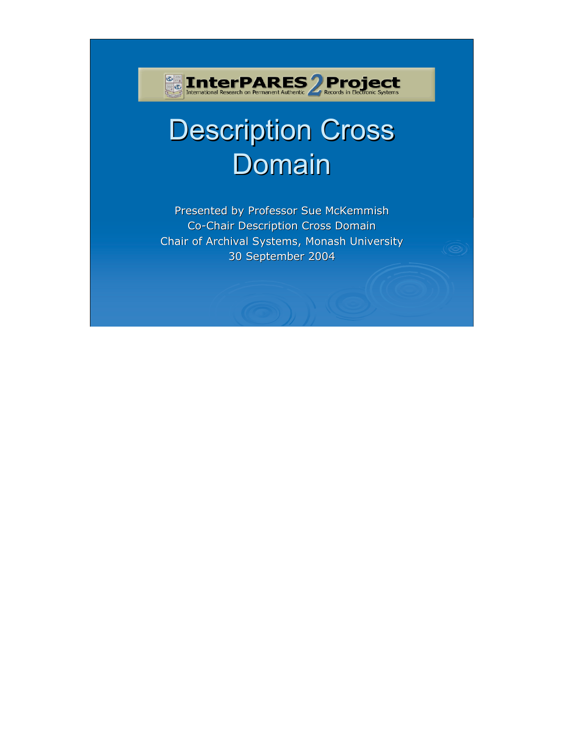# **Description Cross** Domain

**Example 1 DECK PARES 2 Project**<br>International Research on Permanent Authentic 2 Records in Electronic Systems

Presented by Professor Sue McKemmish Co-Chair Description Cross Domain Chair of Archival Systems, Monash University 30 September 2004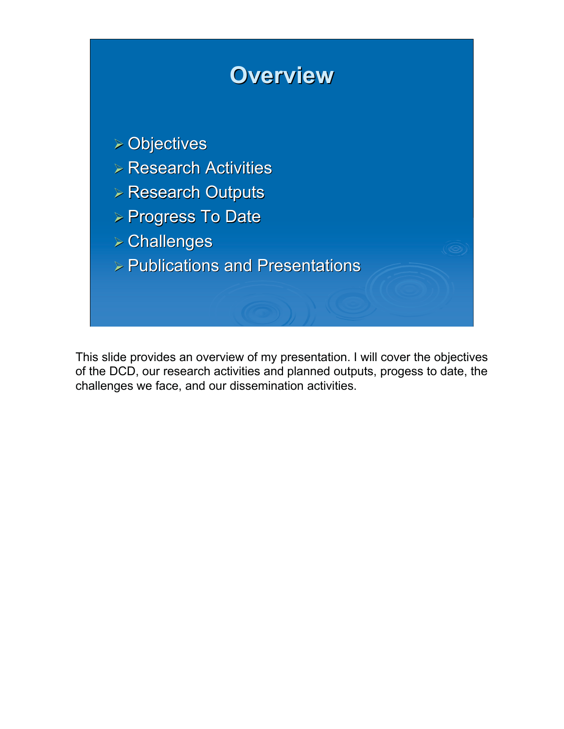

This slide provides an overview of my presentation. I will cover the objectives of the DCD, our research activities and planned outputs, progess to date, the challenges we face, and our dissemination activities.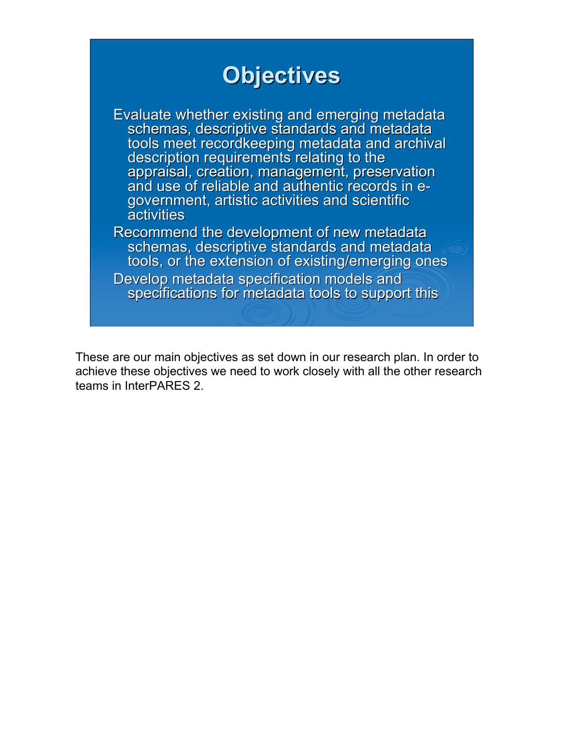#### **Objectives Objectives** Evaluate whether existing and emerging metadata schemas, descriptive standards and metadata tools meet recordkeeping metadata and archival description requirements relating to the appraisal, creation, management, preservation and use of reliable and authentic records in e-<br>government, artistic activities and scientific activities Recommend the development of new metadata schemas, descriptive standards and metadata tools, or the extension of existing/emerging ones Develop metadata specification models and<br>specifications for metadata tools to support this

These are our main objectives as set down in our research plan. In order to achieve these objectives we need to work closely with all the other research teams in InterPARES 2.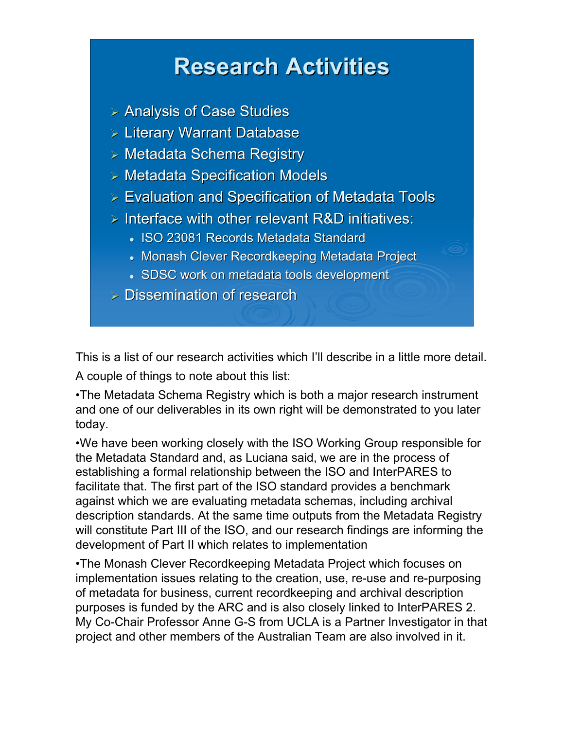#### **Research Activities Research Activities**

- $\triangleright$  Analysis of Case Studies
- $\triangleright$  Literary Warrant Database
- $>$  Metadata Schema Registry
- $>$  Metadata Specification Models
- $\triangleright$  Evaluation and Specification of Metadata Tools
- $\triangleright$  Interface with other relevant R&D initiatives:
	- ISO 23081 Records Metadata Standard
	- Monash Clever Recordkeeping Metadata Project
	- SDSC work on metadata tools development
- $>$  Dissemination of research

This is a list of our research activities which I'll describe in a little more detail.

A couple of things to note about this list:

•The Metadata Schema Registry which is both a major research instrument and one of our deliverables in its own right will be demonstrated to you later today.

•We have been working closely with the ISO Working Group responsible for the Metadata Standard and, as Luciana said, we are in the process of establishing a formal relationship between the ISO and InterPARES to facilitate that. The first part of the ISO standard provides a benchmark against which we are evaluating metadata schemas, including archival description standards. At the same time outputs from the Metadata Registry will constitute Part III of the ISO, and our research findings are informing the development of Part II which relates to implementation

•The Monash Clever Recordkeeping Metadata Project which focuses on implementation issues relating to the creation, use, re-use and re-purposing of metadata for business, current recordkeeping and archival description purposes is funded by the ARC and is also closely linked to InterPARES 2. My Co-Chair Professor Anne G-S from UCLA is a Partner Investigator in that project and other members of the Australian Team are also involved in it.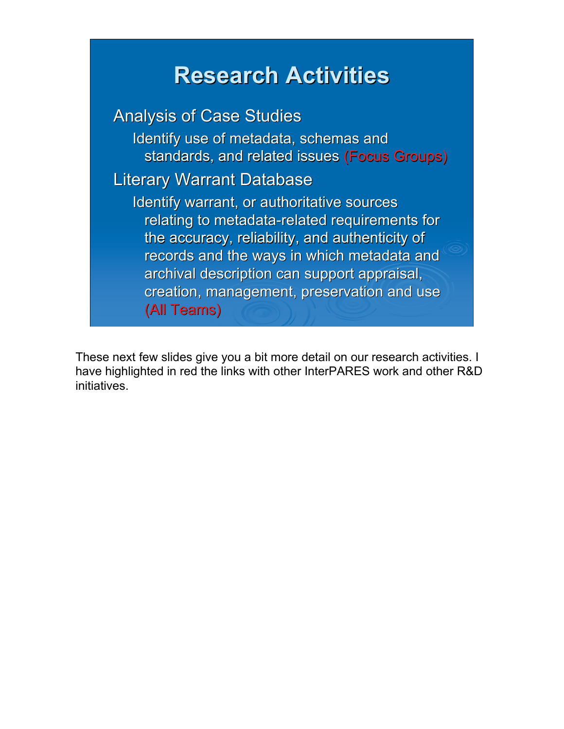## **Research Activities Research Activities**

**Analysis of Case Studies** Identify use of metadata, schemas and standards, and related issues (Focus Groups) **Literary Warrant Database** Identify warrant, or authoritative sources relating to metadata-related requirements for the accuracy, reliability, and authenticity of records and the ways in which metadata and archival description can support appraisal, creation, management, preservation and use (All Teams) (All

These next few slides give you a bit more detail on our research activities. I have highlighted in red the links with other InterPARES work and other R&D initiatives.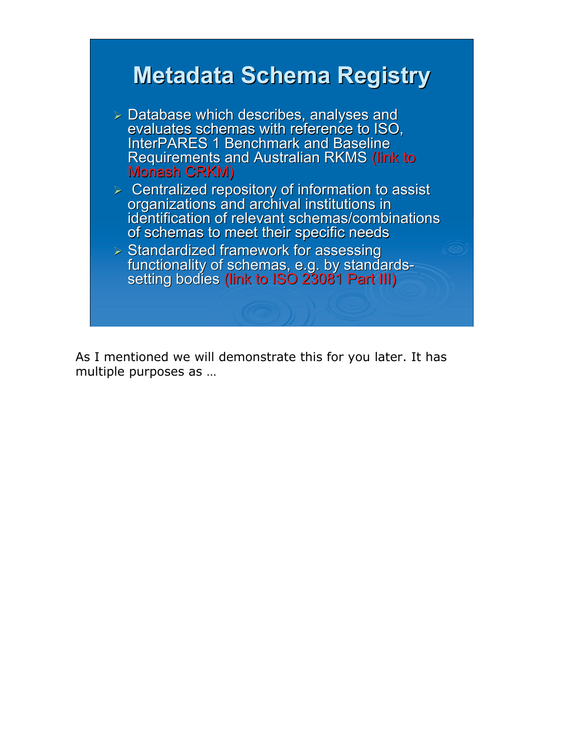

As I mentioned we will demonstrate this for you later. It has multiple purposes as …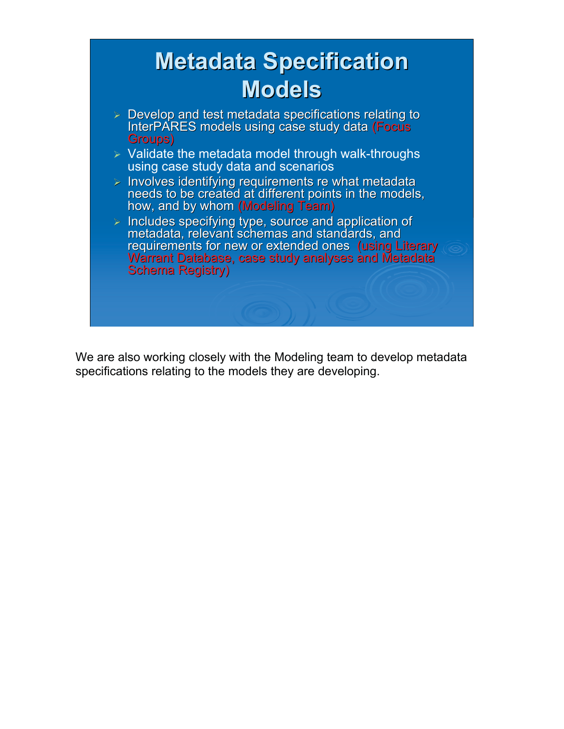

We are also working closely with the Modeling team to develop metadata specifications relating to the models they are developing.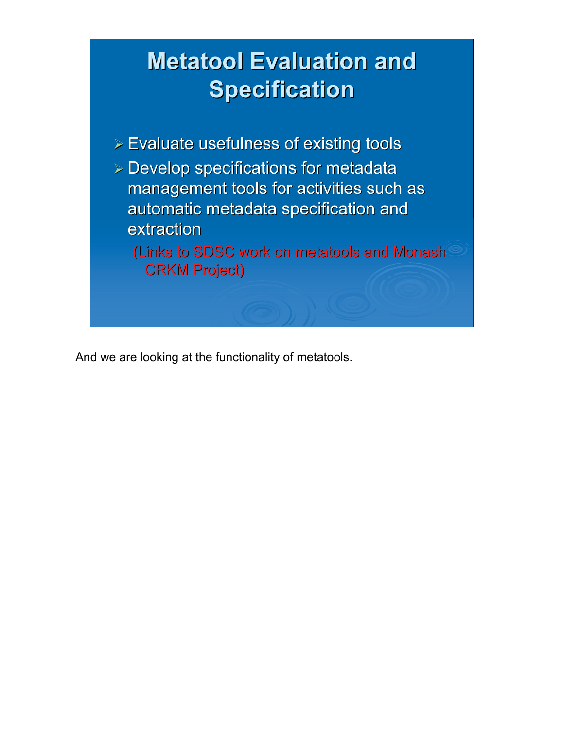# **Metatool Evaluation and Specification Specification**

 $\triangleright$  Evaluate usefulness of existing tools  $\triangleright$  Develop specifications for metadata management tools for activities such as automatic metadata specification and extraction

(Links to SDSC work on metatools and Monash **CRKM Project)** 

And we are looking at the functionality of metatools.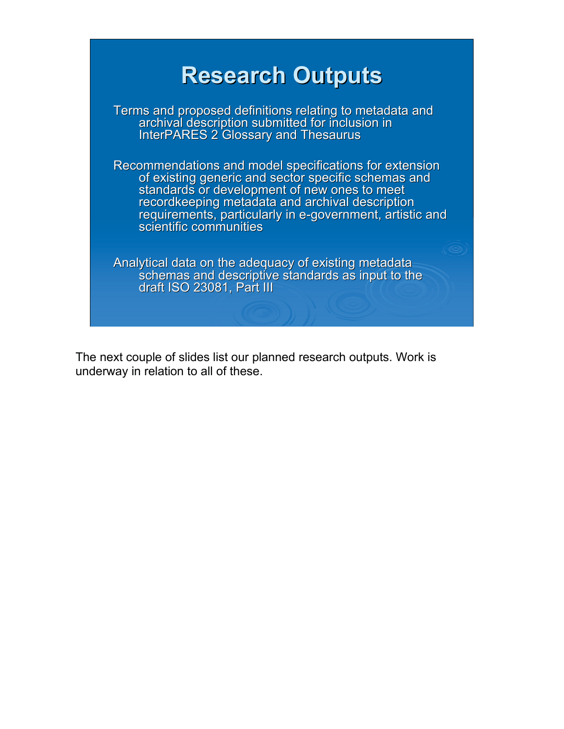

The next couple of slides list our planned research outputs. Work is underway in relation to all of these.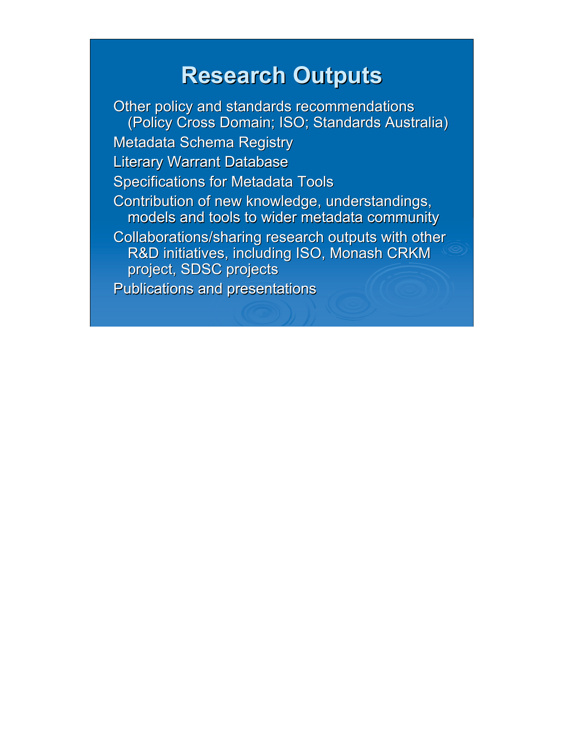#### **Research Outputs Research Outputs**

Other policy and standards recommendations (Policy Cross Domain; ISO; Standards Australia) **Metadata Schema Registry Literary Warrant Database Specifications for Metadata Tools** Contribution of new knowledge, understandings, models and tools to wider metadata community Collaborations/sharing research outputs with other R&D initiatives, including ISO, Monash CRKM project, SDSC projects Publications and presentations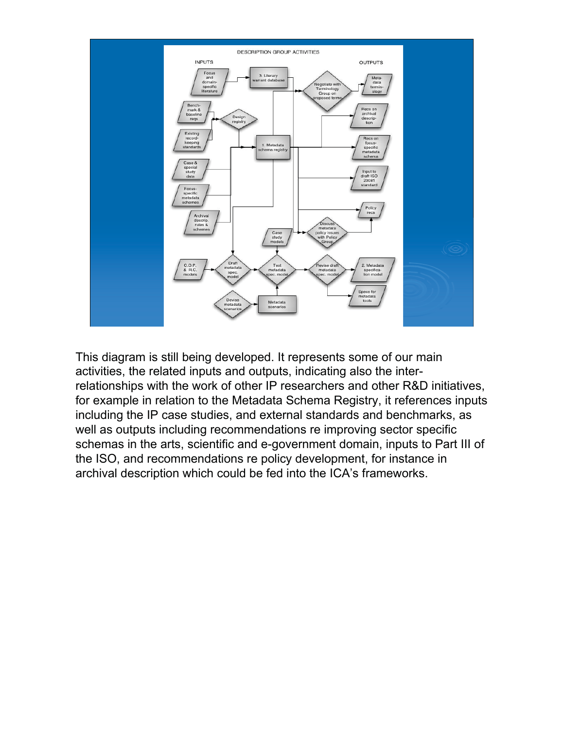

This diagram is still being developed. It represents some of our main activities, the related inputs and outputs, indicating also the interrelationships with the work of other IP researchers and other R&D initiatives, for example in relation to the Metadata Schema Registry, it references inputs including the IP case studies, and external standards and benchmarks, as well as outputs including recommendations re improving sector specific schemas in the arts, scientific and e-government domain, inputs to Part III of the ISO, and recommendations re policy development, for instance in archival description which could be fed into the ICA's frameworks.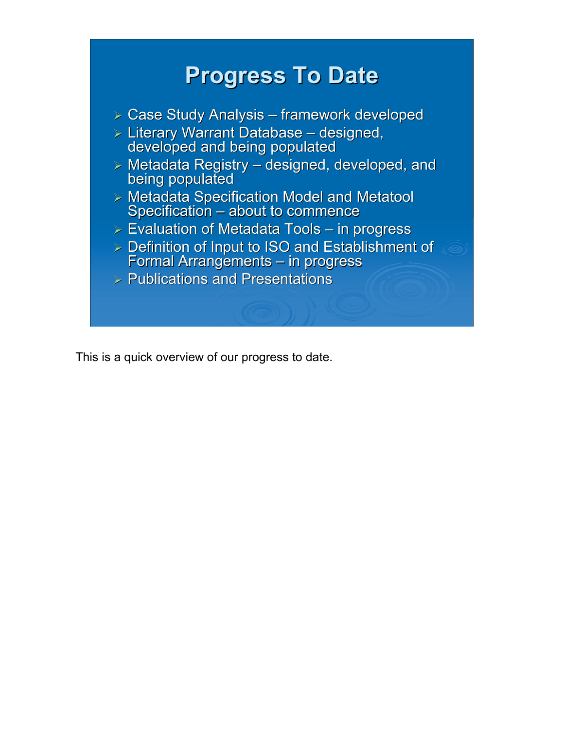

This is a quick overview of our progress to date.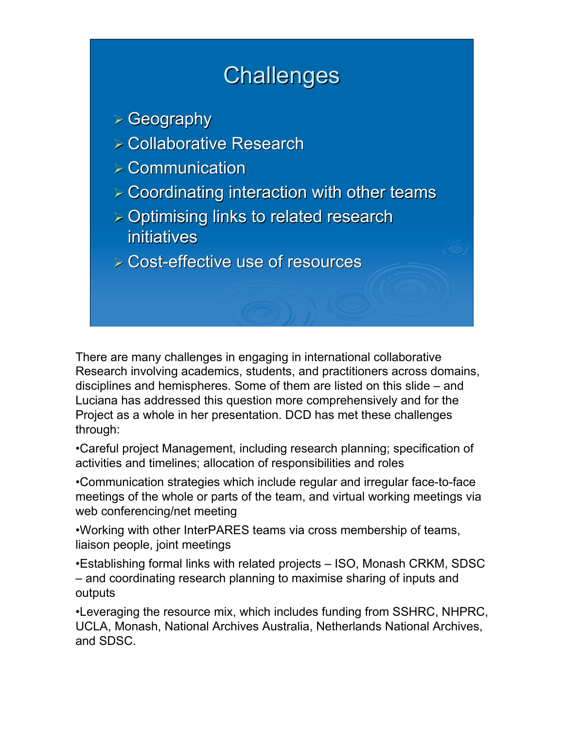## **Challenges**

- $\triangleright$  Geography
- $\triangleright$  Collaborative Research
- $\geq$  Communication
- $\geq$  Coordinating interaction with other teams
- $\geq$  Optimising links to related research initiatives
- $\triangleright$  Cost-effective use of resources

There are many challenges in engaging in international collaborative Research involving academics, students, and practitioners across domains, disciplines and hemispheres. Some of them are listed on this slide – and Luciana has addressed this question more comprehensively and for the Project as a whole in her presentation. DCD has met these challenges through:

•Careful project Management, including research planning; specification of activities and timelines; allocation of responsibilities and roles

•Communication strategies which include regular and irregular face-to-face meetings of the whole or parts of the team, and virtual working meetings via web conferencing/net meeting

•Working with other InterPARES teams via cross membership of teams, liaison people, joint meetings

•Establishing formal links with related projects – ISO, Monash CRKM, SDSC – and coordinating research planning to maximise sharing of inputs and outputs

•Leveraging the resource mix, which includes funding from SSHRC, NHPRC, UCLA, Monash, National Archives Australia, Netherlands National Archives, and SDSC.